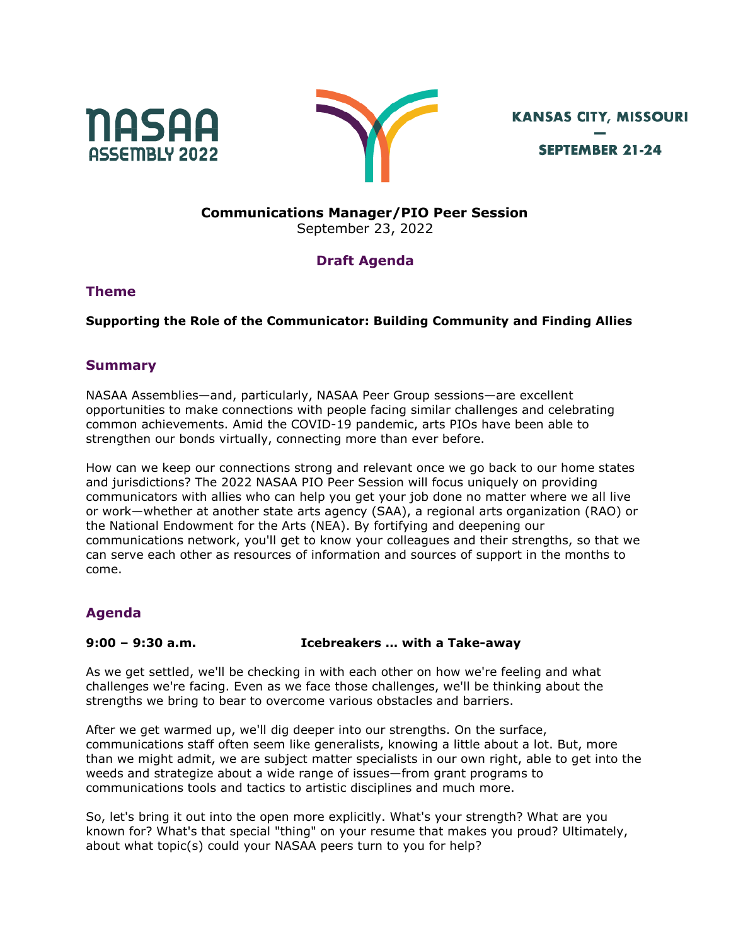



**KANSAS CITY, MISSOURI SEPTEMBER 21-24** 

# **Communications Manager/PIO Peer Session**

September 23, 2022

## **Draft Agenda**

#### **Theme**

#### **Supporting the Role of the Communicator: Building Community and Finding Allies**

### **Summary**

NASAA Assemblies—and, particularly, NASAA Peer Group sessions—are excellent opportunities to make connections with people facing similar challenges and celebrating common achievements. Amid the COVID-19 pandemic, arts PIOs have been able to strengthen our bonds virtually, connecting more than ever before.

How can we keep our connections strong and relevant once we go back to our home states and jurisdictions? The 2022 NASAA PIO Peer Session will focus uniquely on providing communicators with allies who can help you get your job done no matter where we all live or work—whether at another state arts agency (SAA), a regional arts organization (RAO) or the National Endowment for the Arts (NEA). By fortifying and deepening our communications network, you'll get to know your colleagues and their strengths, so that we can serve each other as resources of information and sources of support in the months to come.

## **Agenda**

#### **9:00 – 9:30 a.m. Icebreakers … with a Take-away**

As we get settled, we'll be checking in with each other on how we're feeling and what challenges we're facing. Even as we face those challenges, we'll be thinking about the strengths we bring to bear to overcome various obstacles and barriers.

After we get warmed up, we'll dig deeper into our strengths. On the surface, communications staff often seem like generalists, knowing a little about a lot. But, more than we might admit, we are subject matter specialists in our own right, able to get into the weeds and strategize about a wide range of issues—from grant programs to communications tools and tactics to artistic disciplines and much more.

So, let's bring it out into the open more explicitly. What's your strength? What are you known for? What's that special "thing" on your resume that makes you proud? Ultimately, about what topic(s) could your NASAA peers turn to you for help?